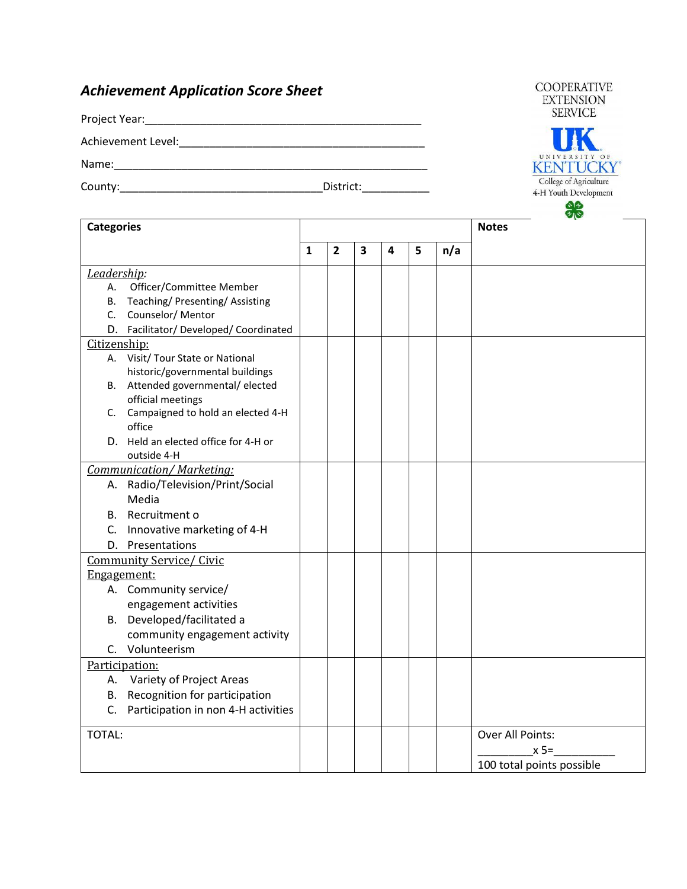## *Achievement Application Score Sheet*

Project Year:\_\_\_\_\_\_\_\_\_\_\_\_\_\_\_\_\_\_\_\_\_\_\_\_\_\_\_\_\_\_\_\_\_\_\_\_\_\_\_\_\_\_\_\_\_

Achievement Level:\_\_\_\_\_\_\_\_\_\_\_\_\_\_\_\_\_\_\_\_\_\_\_\_\_\_\_\_\_\_\_\_\_\_\_\_\_\_\_\_

Name:\_\_\_\_\_\_\_\_\_\_\_\_\_\_\_\_\_\_\_\_\_\_\_\_\_\_\_\_\_\_\_\_\_\_\_\_\_\_\_\_\_\_\_\_\_\_\_\_\_\_\_

County:\_\_\_\_\_\_\_\_\_\_\_\_\_\_\_\_\_\_\_\_\_\_\_\_\_\_\_\_\_\_\_\_\_District:\_\_\_\_\_\_\_\_\_\_\_

**COOPERATIVE EXTENSION SERVICE** 



| <b>Categories</b>                                          |              |                |                         |   |   |     | $\bullet$<br><b>Notes</b> |
|------------------------------------------------------------|--------------|----------------|-------------------------|---|---|-----|---------------------------|
|                                                            | $\mathbf{1}$ | $\overline{2}$ | $\overline{\mathbf{3}}$ | 4 | 5 | n/a |                           |
| Leadership:                                                |              |                |                         |   |   |     |                           |
| Officer/Committee Member<br>А.                             |              |                |                         |   |   |     |                           |
| Teaching/Presenting/Assisting<br>B.<br>C. Counselor/Mentor |              |                |                         |   |   |     |                           |
| D. Facilitator/Developed/Coordinated                       |              |                |                         |   |   |     |                           |
| Citizenship:                                               |              |                |                         |   |   |     |                           |
| A. Visit/ Tour State or National                           |              |                |                         |   |   |     |                           |
| historic/governmental buildings                            |              |                |                         |   |   |     |                           |
| B. Attended governmental/elected                           |              |                |                         |   |   |     |                           |
| official meetings                                          |              |                |                         |   |   |     |                           |
| C. Campaigned to hold an elected 4-H                       |              |                |                         |   |   |     |                           |
| office                                                     |              |                |                         |   |   |     |                           |
| D. Held an elected office for 4-H or                       |              |                |                         |   |   |     |                           |
| outside 4-H                                                |              |                |                         |   |   |     |                           |
| <b>Communication/Marketing:</b>                            |              |                |                         |   |   |     |                           |
| A. Radio/Television/Print/Social                           |              |                |                         |   |   |     |                           |
| Media                                                      |              |                |                         |   |   |     |                           |
| B. Recruitment o                                           |              |                |                         |   |   |     |                           |
| C. Innovative marketing of 4-H                             |              |                |                         |   |   |     |                           |
| D. Presentations                                           |              |                |                         |   |   |     |                           |
| <b>Community Service/ Civic</b>                            |              |                |                         |   |   |     |                           |
| Engagement:                                                |              |                |                         |   |   |     |                           |
| A. Community service/                                      |              |                |                         |   |   |     |                           |
| engagement activities                                      |              |                |                         |   |   |     |                           |
| B. Developed/facilitated a                                 |              |                |                         |   |   |     |                           |
| community engagement activity                              |              |                |                         |   |   |     |                           |
| C. Volunteerism                                            |              |                |                         |   |   |     |                           |
| Participation:                                             |              |                |                         |   |   |     |                           |
| A. Variety of Project Areas                                |              |                |                         |   |   |     |                           |
| B. Recognition for participation                           |              |                |                         |   |   |     |                           |
| C. Participation in non 4-H activities                     |              |                |                         |   |   |     |                           |
| TOTAL:                                                     |              |                |                         |   |   |     | Over All Points:          |
|                                                            |              |                |                         |   |   |     | $x 5=$                    |
|                                                            |              |                |                         |   |   |     | 100 total points possible |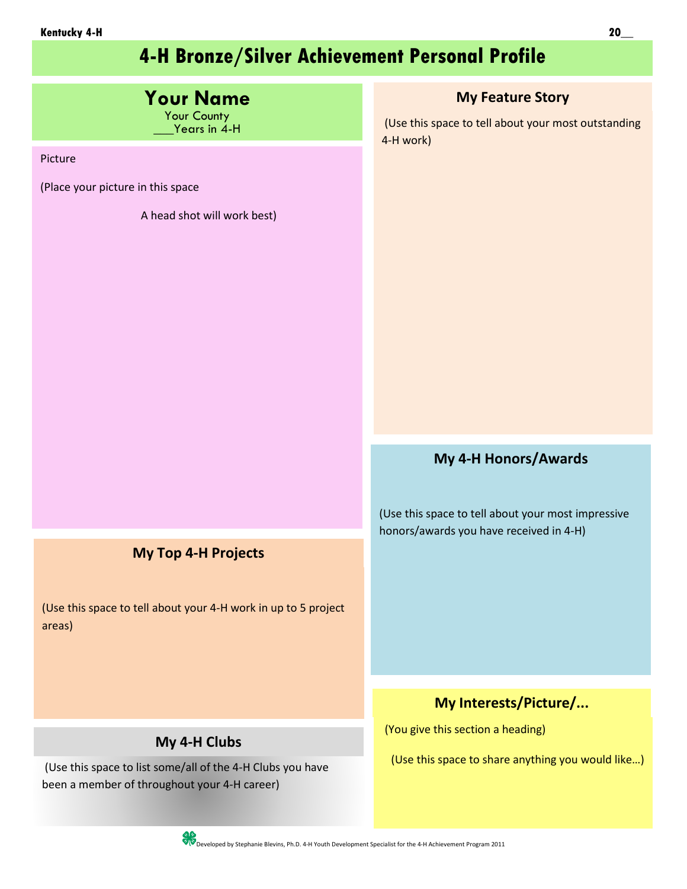# **4-H Bronze/Silver Achievement Personal Profile**

| <b>Your Name</b><br>Your County<br>Years in 4-H<br>Picture<br>(Place your picture in this space<br>A head shot will work best) | <b>My Feature Story</b><br>(Use this space to tell about your most outstanding<br>4-H work)   |
|--------------------------------------------------------------------------------------------------------------------------------|-----------------------------------------------------------------------------------------------|
|                                                                                                                                |                                                                                               |
|                                                                                                                                | My 4-H Honors/Awards                                                                          |
|                                                                                                                                | (Use this space to tell about your most impressive<br>honors/awards you have received in 4-H) |
| <b>My Top 4-H Projects</b>                                                                                                     |                                                                                               |
| (Use this space to tell about your 4-H work in up to 5 project<br>areas)                                                       |                                                                                               |
|                                                                                                                                | My Interests/Picture/                                                                         |
| My 4-H Clubs<br>(Use this space to list some/all of the 4-H Clubs you have<br>been a member of throughout your 4-H career)     | (You give this section a heading)<br>(Use this space to share anything you would like)        |
| SC Developed by Stephanie Blevins, Ph.D. 4-H Youth Development Specialist for the 4-H Achievement Program 2011                 |                                                                                               |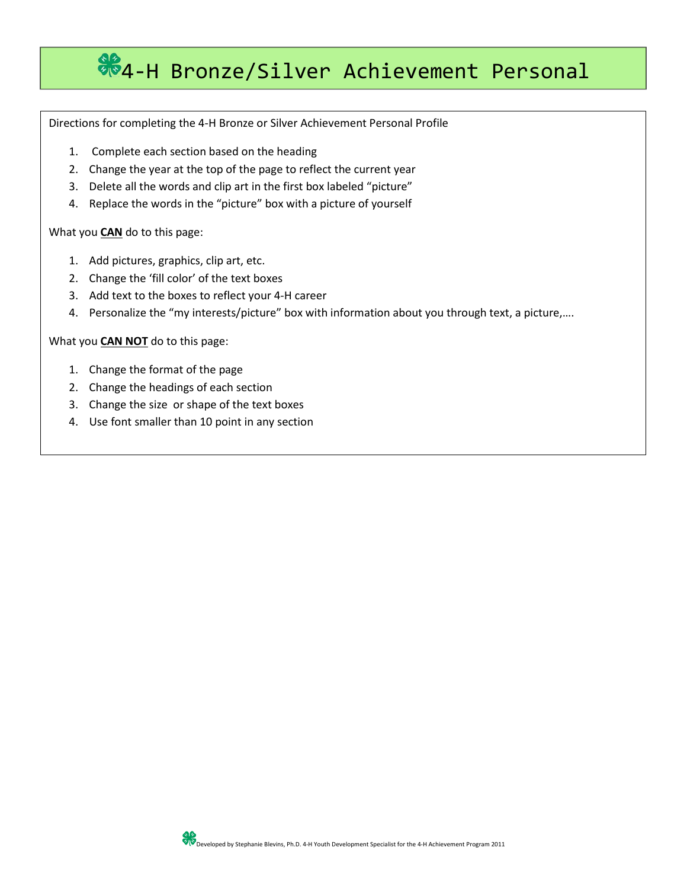# $%4-H$  Bronze/Silver Achievement Personal

Directions for completing the 4-H Bronze or Silver Achievement Personal Profile

- 1. Complete each section based on the heading
- 2. Change the year at the top of the page to reflect the current year
- 3. Delete all the words and clip art in the first box labeled "picture"
- 4. Replace the words in the "picture" box with a picture of yourself

What you **CAN** do to this page:

- 1. Add pictures, graphics, clip art, etc.
- 2. Change the 'fill color' of the text boxes
- 3. Add text to the boxes to reflect your 4-H career
- 4. Personalize the "my interests/picture" box with information about you through text, a picture,….

What you **CAN NOT** do to this page:

- 1. Change the format of the page
- 2. Change the headings of each section
- 3. Change the size or shape of the text boxes
- 4. Use font smaller than 10 point in any section

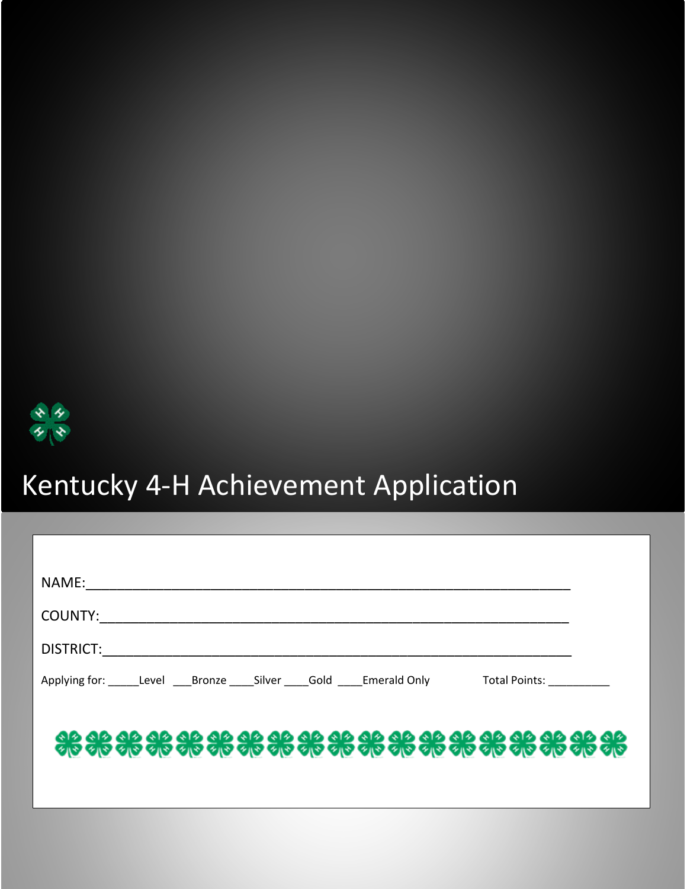

| NAME: _________________________                                               |  |
|-------------------------------------------------------------------------------|--|
|                                                                               |  |
|                                                                               |  |
| Applying for: Level Bronze Silver Gold Emerald Only Total Points:             |  |
|                                                                               |  |
| <b>ele ale ale de de se se se ale ale de de ale se se se ale de de ale de</b> |  |
|                                                                               |  |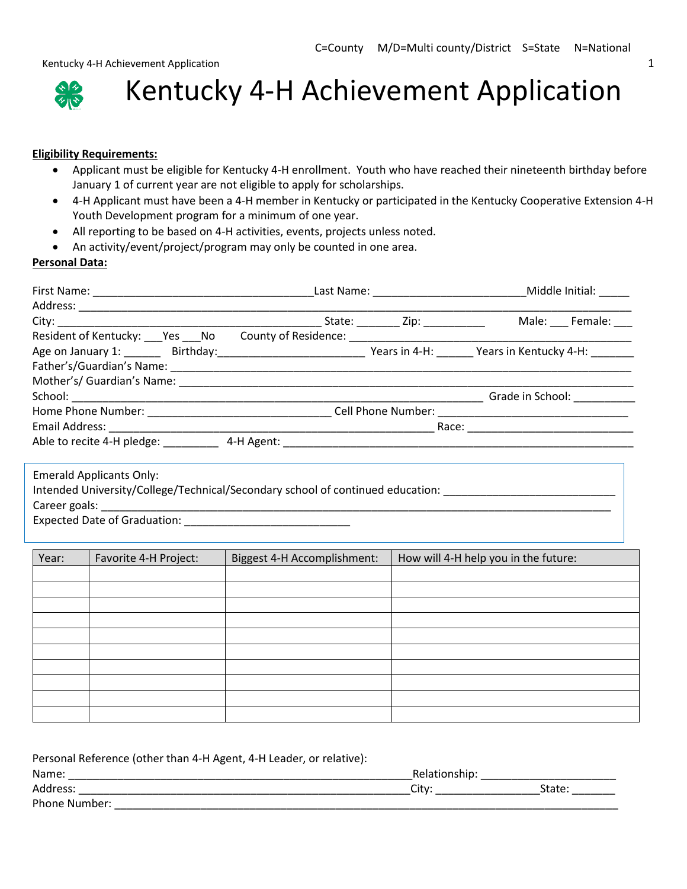Kentucky 4-H Achievement Application 1 and 2008 1 and 2008 1 and 2008 1 and 2008 1 and 2008 1 and 2008 1 and 2008 1 and 2008 1 and 2008 1 and 2008 1 and 2008 1 and 2008 1 and 2008 1 and 2008 1 and 2008 1 and 2008 1 and 200



Kentucky 4-H Achievement Application

#### **Eligibility Requirements:**

- Applicant must be eligible for Kentucky 4-H enrollment. Youth who have reached their nineteenth birthday before January 1 of current year are not eligible to apply for scholarships.
- 4-H Applicant must have been a 4-H member in Kentucky or participated in the Kentucky Cooperative Extension 4-H Youth Development program for a minimum of one year.
- All reporting to be based on 4-H activities, events, projects unless noted.
- An activity/event/project/program may only be counted in one area.

#### **Personal Data:**

|                                                                                                                           | State: _________ Zip: ___________ | Male: Female:                       |
|---------------------------------------------------------------------------------------------------------------------------|-----------------------------------|-------------------------------------|
| Resident of Kentucky: ___ Yes ___ No ___ County of Residence: __________________                                          |                                   |                                     |
| Age on January 1: _______ Birthday:________________________________ Years in 4-H: ________ Years in Kentucky 4-H: _______ |                                   |                                     |
|                                                                                                                           |                                   |                                     |
|                                                                                                                           |                                   |                                     |
|                                                                                                                           |                                   | Grade in School: Canada and School: |
|                                                                                                                           |                                   |                                     |
|                                                                                                                           |                                   | Race: _______________________       |
| Able to recite 4-H pledge: $4-H$ Agent:                                                                                   |                                   |                                     |
|                                                                                                                           |                                   |                                     |
| <b>Emerald Applicants Only:</b>                                                                                           |                                   |                                     |

Intended University/College/Technical/Secondary school of continued education: \_\_\_\_\_\_\_\_\_\_\_\_\_\_\_\_\_\_\_\_\_\_\_\_\_\_\_\_\_\_\_ Career goals: \_\_\_\_\_\_\_\_\_\_\_\_\_\_\_\_\_\_\_\_\_\_\_\_\_\_\_\_\_\_\_\_\_\_\_\_\_\_\_\_\_\_\_\_\_\_\_\_\_\_\_\_\_\_\_\_\_\_\_\_\_\_\_\_\_\_\_\_\_\_\_\_\_\_\_\_\_\_\_\_\_\_\_

Expected Date of Graduation: \_\_\_\_\_\_\_\_\_\_\_\_\_\_\_\_\_\_\_\_\_\_\_\_\_\_\_

| Year: | Favorite 4-H Project: | Biggest 4-H Accomplishment: | How will 4-H help you in the future: |
|-------|-----------------------|-----------------------------|--------------------------------------|
|       |                       |                             |                                      |
|       |                       |                             |                                      |
|       |                       |                             |                                      |
|       |                       |                             |                                      |
|       |                       |                             |                                      |
|       |                       |                             |                                      |
|       |                       |                             |                                      |
|       |                       |                             |                                      |
|       |                       |                             |                                      |
|       |                       |                             |                                      |

Personal Reference (other than 4-H Agent, 4-H Leader, or relative):

| Name:         |   |       |
|---------------|---|-------|
| Address:      | ◡ | State |
| Phone Number: |   |       |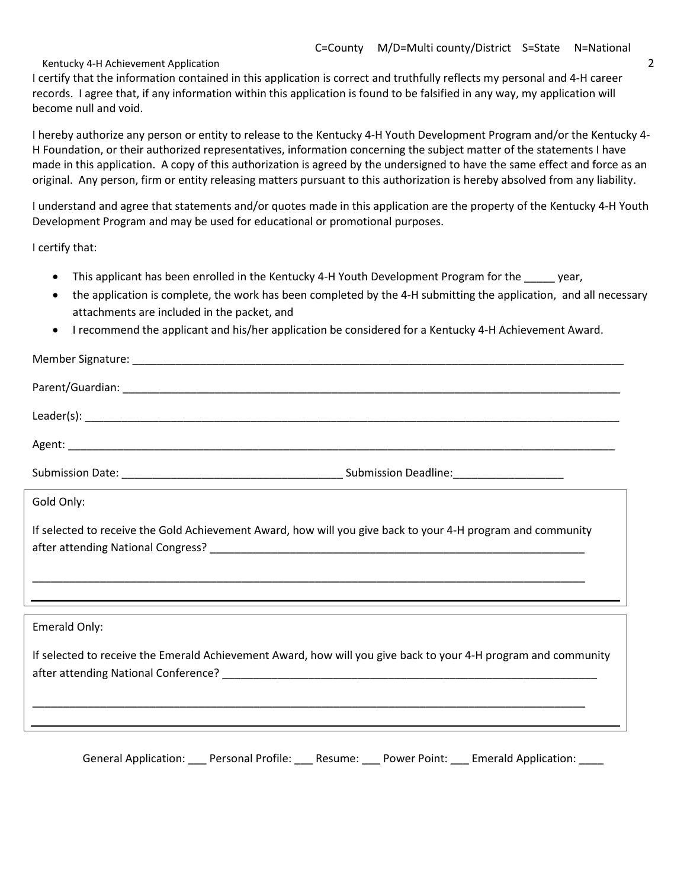I certify that the information contained in this application is correct and truthfully reflects my personal and 4-H career records. I agree that, if any information within this application is found to be falsified in any way, my application will become null and void.

I hereby authorize any person or entity to release to the Kentucky 4-H Youth Development Program and/or the Kentucky 4- H Foundation, or their authorized representatives, information concerning the subject matter of the statements I have made in this application. A copy of this authorization is agreed by the undersigned to have the same effect and force as an original. Any person, firm or entity releasing matters pursuant to this authorization is hereby absolved from any liability.

I understand and agree that statements and/or quotes made in this application are the property of the Kentucky 4-H Youth Development Program and may be used for educational or promotional purposes.

I certify that:

- This applicant has been enrolled in the Kentucky 4-H Youth Development Program for the \_\_\_\_\_ year,
- the application is complete, the work has been completed by the 4-H submitting the application, and all necessary attachments are included in the packet, and
- I recommend the applicant and his/her application be considered for a Kentucky 4-H Achievement Award.

| Gold Only:                                                                                                            |  |
|-----------------------------------------------------------------------------------------------------------------------|--|
| If selected to receive the Gold Achievement Award, how will you give back to your 4-H program and community           |  |
| <u> 1989 - Johann Harry Harry Harry Harry Harry Harry Harry Harry Harry Harry Harry Harry Harry Harry Harry Harry</u> |  |
|                                                                                                                       |  |
| Emerald Only:                                                                                                         |  |
| If selected to receive the Emerald Achievement Award, how will you give back to your 4-H program and community        |  |
|                                                                                                                       |  |
|                                                                                                                       |  |

General Application: \_\_\_ Personal Profile: \_\_\_ Resume: \_\_\_ Power Point: \_\_\_ Emerald Application: \_\_\_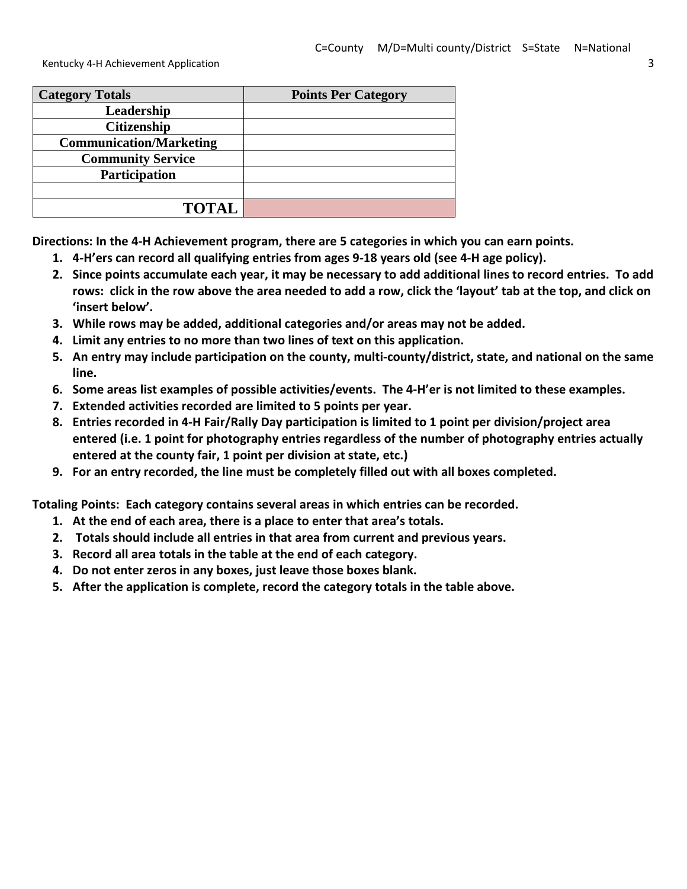| <b>Category Totals</b>         | <b>Points Per Category</b> |
|--------------------------------|----------------------------|
| Leadership                     |                            |
| <b>Citizenship</b>             |                            |
| <b>Communication/Marketing</b> |                            |
| <b>Community Service</b>       |                            |
| Participation                  |                            |
|                                |                            |
| <b>TOTAL</b>                   |                            |

**Directions: In the 4-H Achievement program, there are 5 categories in which you can earn points.**

- **1. 4-H'ers can record all qualifying entries from ages 9-18 years old (see 4-H age policy).**
- **2. Since points accumulate each year, it may be necessary to add additional lines to record entries. To add rows: click in the row above the area needed to add a row, click the 'layout' tab at the top, and click on 'insert below'.**
- **3. While rows may be added, additional categories and/or areas may not be added.**
- **4. Limit any entries to no more than two lines of text on this application.**
- **5. An entry may include participation on the county, multi-county/district, state, and national on the same line.**
- **6. Some areas list examples of possible activities/events. The 4-H'er is not limited to these examples.**
- **7. Extended activities recorded are limited to 5 points per year.**
- **8. Entries recorded in 4-H Fair/Rally Day participation is limited to 1 point per division/project area entered (i.e. 1 point for photography entries regardless of the number of photography entries actually entered at the county fair, 1 point per division at state, etc.)**
- **9. For an entry recorded, the line must be completely filled out with all boxes completed.**

**Totaling Points: Each category contains several areas in which entries can be recorded.** 

- **1. At the end of each area, there is a place to enter that area's totals.**
- **2. Totals should include all entries in that area from current and previous years.**
- **3. Record all area totals in the table at the end of each category.**
- **4. Do not enter zeros in any boxes, just leave those boxes blank.**
- **5. After the application is complete, record the category totals in the table above.**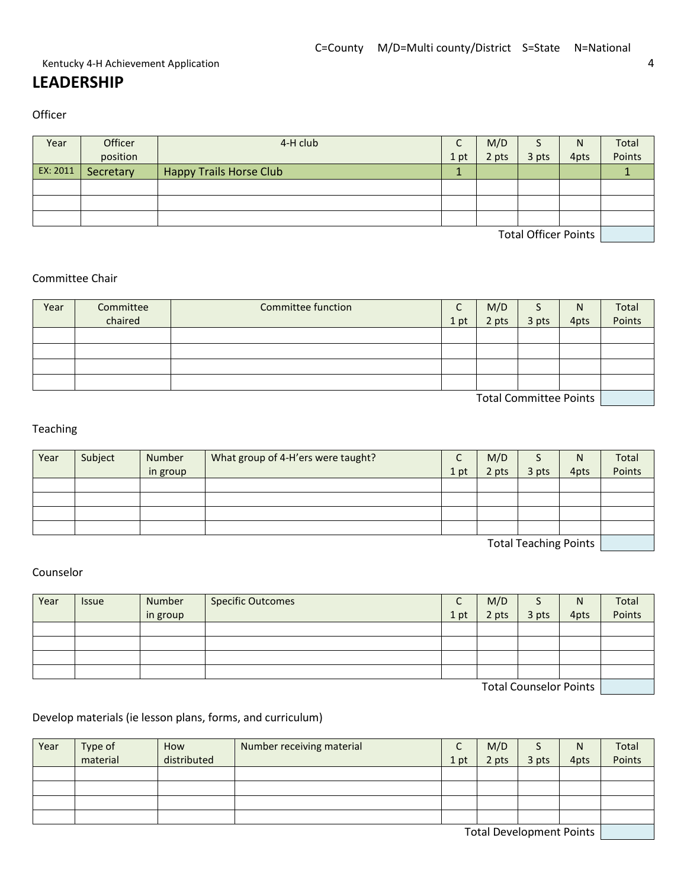#### Kentucky 4-H Achievement Application 4 and 2008 and 2008 and 2008 and 2008 and 2008 and 2008 and 2008 and 2008  $\pm 4$

## **LEADERSHIP**

**Officer** 

| Year                        | Officer   | 4-H club                       | ╭<br>֊ | M/D   |       | N    | Total  |
|-----------------------------|-----------|--------------------------------|--------|-------|-------|------|--------|
|                             | position  |                                | 1 pt   | 2 pts | 3 pts | 4pts | Points |
| EX: 2011                    | Secretary | <b>Happy Trails Horse Club</b> |        |       |       |      |        |
|                             |           |                                |        |       |       |      |        |
|                             |           |                                |        |       |       |      |        |
|                             |           |                                |        |       |       |      |        |
| <b>Total Officer Points</b> |           |                                |        |       |       |      |        |

#### Committee Chair

| Year                   | Committee | Committee function | ֊    | M/D   | د     | N    | Total  |
|------------------------|-----------|--------------------|------|-------|-------|------|--------|
|                        | chaired   |                    | 1 pt | 2 pts | 3 pts | 4pts | Points |
|                        |           |                    |      |       |       |      |        |
|                        |           |                    |      |       |       |      |        |
|                        |           |                    |      |       |       |      |        |
|                        |           |                    |      |       |       |      |        |
| Total Committon Doints |           |                    |      |       |       |      |        |

Total Committee Points

#### Teaching

| Year                                           | Subject | Number   | What group of 4-H'ers were taught? | $\sqrt{ }$<br>֊ | M/D   |       | N    | Total  |
|------------------------------------------------|---------|----------|------------------------------------|-----------------|-------|-------|------|--------|
|                                                |         | in group |                                    | 1 pt            | 2 pts | 3 pts | 4pts | Points |
|                                                |         |          |                                    |                 |       |       |      |        |
|                                                |         |          |                                    |                 |       |       |      |        |
|                                                |         |          |                                    |                 |       |       |      |        |
|                                                |         |          |                                    |                 |       |       |      |        |
| $\pi$ and $\pi$ and all the contracts of $\pi$ |         |          |                                    |                 |       |       |      |        |

Total Teaching Points

#### Counselor

| Year                   | <b>Issue</b> | Number   | <b>Specific Outcomes</b> | ֊    | M/D   |       | N    | Total  |
|------------------------|--------------|----------|--------------------------|------|-------|-------|------|--------|
|                        |              | in group |                          | 1 pt | 2 pts | 3 pts | 4pts | Points |
|                        |              |          |                          |      |       |       |      |        |
|                        |              |          |                          |      |       |       |      |        |
|                        |              |          |                          |      |       |       |      |        |
|                        |              |          |                          |      |       |       |      |        |
| Total Councelor Points |              |          |                          |      |       |       |      |        |

Total Counselor Points [www.com

#### Develop materials (ie lesson plans, forms, and curriculum)

| Year                                                                                                                                                                                                                           | Type of  | How         | Number receiving material | ∼    | M/D   |       | N    | Total  |
|--------------------------------------------------------------------------------------------------------------------------------------------------------------------------------------------------------------------------------|----------|-------------|---------------------------|------|-------|-------|------|--------|
|                                                                                                                                                                                                                                | material | distributed |                           | 1 pt | 2 pts | 3 pts | 4pts | Points |
|                                                                                                                                                                                                                                |          |             |                           |      |       |       |      |        |
|                                                                                                                                                                                                                                |          |             |                           |      |       |       |      |        |
|                                                                                                                                                                                                                                |          |             |                           |      |       |       |      |        |
|                                                                                                                                                                                                                                |          |             |                           |      |       |       |      |        |
| The second product in the second production of the second second second second second second second second second second second second second second second second second second second second second second second second sec |          |             |                           |      |       |       |      |        |

Total Development Points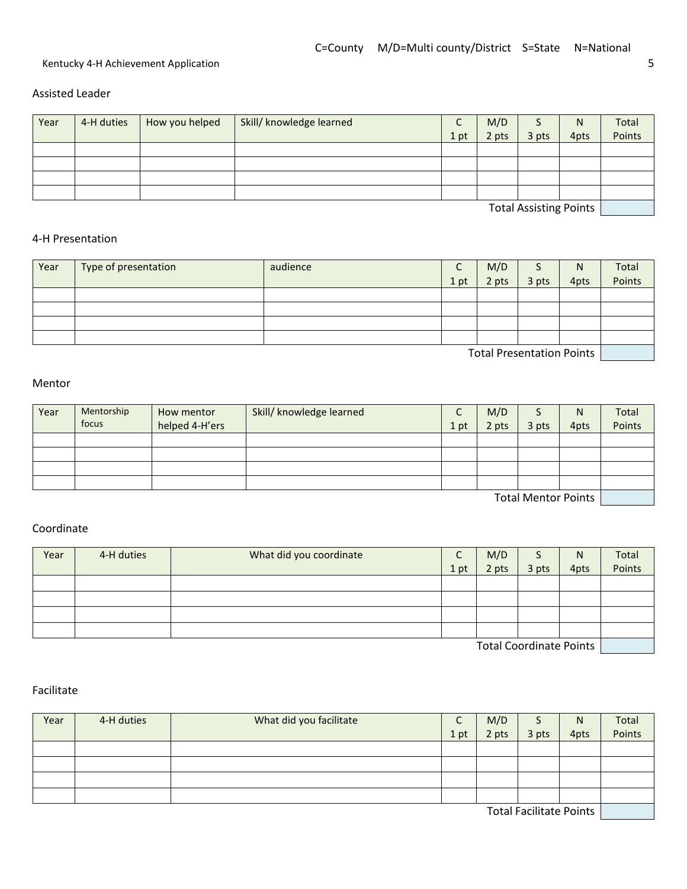Assisted Leader

| Year | 4-H duties | How you helped | Skill/ knowledge learned |      | M/D   |                                             | N    | Total  |
|------|------------|----------------|--------------------------|------|-------|---------------------------------------------|------|--------|
|      |            |                |                          | 1 pt | 2 pts | 3 pts                                       | 4pts | Points |
|      |            |                |                          |      |       |                                             |      |        |
|      |            |                |                          |      |       |                                             |      |        |
|      |            |                |                          |      |       |                                             |      |        |
|      |            |                |                          |      |       |                                             |      |        |
|      |            |                |                          |      |       | $T = 1$ and $A = 1$ and $A = 0$ and $A = 1$ |      |        |

Total Assisting Points **Name 1 (1994)** 

#### 4-H Presentation

| Year                                            | Type of presentation | audience | ֊    | M/D   | ت     | N    | Total  |  |  |
|-------------------------------------------------|----------------------|----------|------|-------|-------|------|--------|--|--|
|                                                 |                      |          | 1 pt | 2 pts | 3 pts | 4pts | Points |  |  |
|                                                 |                      |          |      |       |       |      |        |  |  |
|                                                 |                      |          |      |       |       |      |        |  |  |
|                                                 |                      |          |      |       |       |      |        |  |  |
|                                                 |                      |          |      |       |       |      |        |  |  |
| $\tau$ . The contract of the contract of $\tau$ |                      |          |      |       |       |      |        |  |  |

Total Presentation Points

#### Mentor

| Year                | Mentorship<br>focus | How mentor     | Skill/ knowledge learned |      | M/D   |       | N    | Total  |
|---------------------|---------------------|----------------|--------------------------|------|-------|-------|------|--------|
|                     |                     | helped 4-H'ers |                          | 1 pt | 2 pts | 3 pts | 4pts | Points |
|                     |                     |                |                          |      |       |       |      |        |
|                     |                     |                |                          |      |       |       |      |        |
|                     |                     |                |                          |      |       |       |      |        |
|                     |                     |                |                          |      |       |       |      |        |
| Total Montor Dointe |                     |                |                          |      |       |       |      |        |

Total Mentor Points

#### Coordinate

| Year                           | 4-H duties | What did you coordinate | r<br>֊ | M/D   |       | N    | Total  |
|--------------------------------|------------|-------------------------|--------|-------|-------|------|--------|
|                                |            |                         | 1 pt   | 2 pts | 3 pts | 4pts | Points |
|                                |            |                         |        |       |       |      |        |
|                                |            |                         |        |       |       |      |        |
|                                |            |                         |        |       |       |      |        |
|                                |            |                         |        |       |       |      |        |
| <b>Total Coordinate Points</b> |            |                         |        |       |       |      |        |

Facilitate

| Year | 4-H duties | What did you facilitate |      | M/D   | э                              | N    | Total<br>Points |
|------|------------|-------------------------|------|-------|--------------------------------|------|-----------------|
|      |            |                         | 1 pt | 2 pts | 3 pts                          | 4pts |                 |
|      |            |                         |      |       |                                |      |                 |
|      |            |                         |      |       |                                |      |                 |
|      |            |                         |      |       |                                |      |                 |
|      |            |                         |      |       |                                |      |                 |
|      |            |                         |      |       | <b>Total Facilitate Points</b> |      |                 |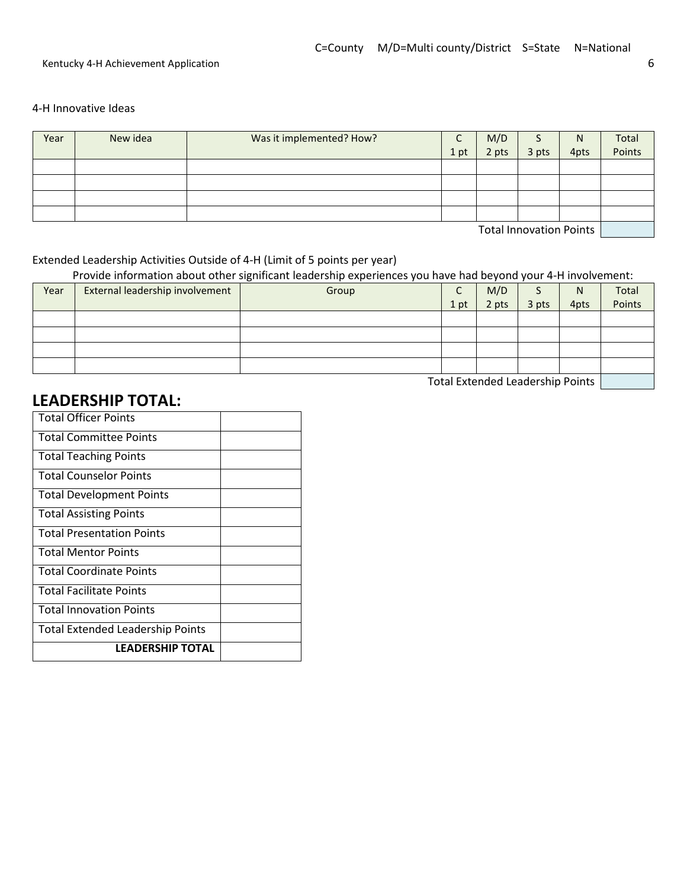#### 4-H Innovative Ideas

| Year                           | New idea | Was it implemented? How? | ⌒<br>֊ | M/D   |       | N    | Total  |  |  |
|--------------------------------|----------|--------------------------|--------|-------|-------|------|--------|--|--|
|                                |          |                          | 1 pt   | 2 pts | 3 pts | 4pts | Points |  |  |
|                                |          |                          |        |       |       |      |        |  |  |
|                                |          |                          |        |       |       |      |        |  |  |
|                                |          |                          |        |       |       |      |        |  |  |
|                                |          |                          |        |       |       |      |        |  |  |
| <b>Total Innovation Doints</b> |          |                          |        |       |       |      |        |  |  |

Total Innovation Points

#### Extended Leadership Activities Outside of 4-H (Limit of 5 points per year)

Provide information about other significant leadership experiences you have had beyond your 4-H involvement:

| Year | External leadership involvement | Group | C<br>֊ | M/D   |       | N    | Total  |
|------|---------------------------------|-------|--------|-------|-------|------|--------|
|      |                                 |       | 1 pt   | 2 pts | 3 pts | 4pts | Points |
|      |                                 |       |        |       |       |      |        |
|      |                                 |       |        |       |       |      |        |
|      |                                 |       |        |       |       |      |        |
|      |                                 |       |        |       |       |      |        |

Total Extended Leadership Points | The Leadership Points | The Leadership Points |

## **LEADERSHIP TOTAL:**

| <b>Total Officer Points</b>             |  |
|-----------------------------------------|--|
| <b>Total Committee Points</b>           |  |
| <b>Total Teaching Points</b>            |  |
| <b>Total Counselor Points</b>           |  |
| <b>Total Development Points</b>         |  |
| <b>Total Assisting Points</b>           |  |
| <b>Total Presentation Points</b>        |  |
| <b>Total Mentor Points</b>              |  |
| <b>Total Coordinate Points</b>          |  |
| <b>Total Facilitate Points</b>          |  |
| <b>Total Innovation Points</b>          |  |
| <b>Total Extended Leadership Points</b> |  |
| <b>LEADERSHIP TOTAL</b>                 |  |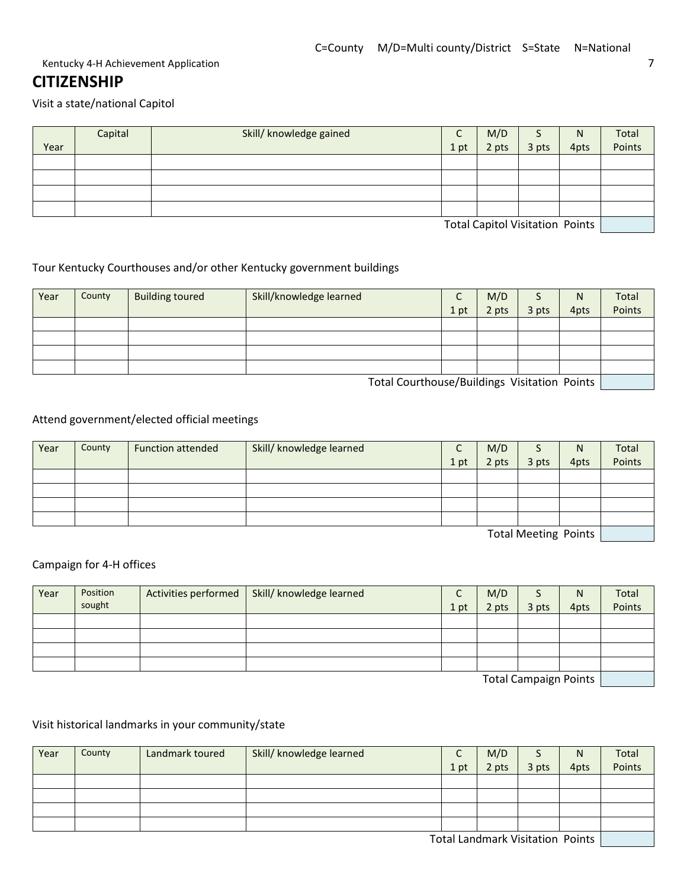## **CITIZENSHIP**

Visit a state/national Capitol

|      | Capital | Skill/ knowledge gained | ֊    | M/D   |                                  | N    | Total  |
|------|---------|-------------------------|------|-------|----------------------------------|------|--------|
| Year |         |                         | 1 pt | 2 pts | 3 pts                            | 4pts | Points |
|      |         |                         |      |       |                                  |      |        |
|      |         |                         |      |       |                                  |      |        |
|      |         |                         |      |       |                                  |      |        |
|      |         |                         |      |       |                                  |      |        |
|      |         |                         |      |       | Total Capital Vicitation, Dointe |      |        |

Total Capitol Visitation Points

#### Tour Kentucky Courthouses and/or other Kentucky government buildings

| Year | County                                       | <b>Building toured</b> | Skill/knowledge learned | ֊    | M/D   |       | N    | Total  |  |  |
|------|----------------------------------------------|------------------------|-------------------------|------|-------|-------|------|--------|--|--|
|      |                                              |                        |                         | 1 pt | 2 pts | 3 pts | 4pts | Points |  |  |
|      |                                              |                        |                         |      |       |       |      |        |  |  |
|      |                                              |                        |                         |      |       |       |      |        |  |  |
|      |                                              |                        |                         |      |       |       |      |        |  |  |
|      |                                              |                        |                         |      |       |       |      |        |  |  |
|      | Tatal Caughause (Buildiage Meitetian, Bainte |                        |                         |      |       |       |      |        |  |  |

Total Courthouse/Buildings Visitation Points

#### Attend government/elected official meetings

| Year                 | County | <b>Function attended</b> | Skill/ knowledge learned | C<br>֊ | M/D   | د     | N    | Total  |
|----------------------|--------|--------------------------|--------------------------|--------|-------|-------|------|--------|
|                      |        |                          |                          | 1 pt   | 2 pts | 3 pts | 4pts | Points |
|                      |        |                          |                          |        |       |       |      |        |
|                      |        |                          |                          |        |       |       |      |        |
|                      |        |                          |                          |        |       |       |      |        |
|                      |        |                          |                          |        |       |       |      |        |
| Total Meeting Points |        |                          |                          |        |       |       |      |        |

#### Campaign for 4-H offices

| Year                         | Position<br>sought | Activities performed | Skill/ knowledge learned | ֊<br>1 pt | M/D<br>2 pts | 3 pts | N<br>4pts | Total<br>Points |
|------------------------------|--------------------|----------------------|--------------------------|-----------|--------------|-------|-----------|-----------------|
|                              |                    |                      |                          |           |              |       |           |                 |
|                              |                    |                      |                          |           |              |       |           |                 |
|                              |                    |                      |                          |           |              |       |           |                 |
|                              |                    |                      |                          |           |              |       |           |                 |
| <b>Total Campaign Points</b> |                    |                      |                          |           |              |       |           |                 |

Total Campaign Points [*Compaign*]

#### Visit historical landmarks in your community/state

| Year | County | Landmark toured | Skill/ knowledge learned | $\sqrt{ }$<br>֊ | M/D   |       | N     | Total  |
|------|--------|-----------------|--------------------------|-----------------|-------|-------|-------|--------|
|      |        |                 |                          | 1 pt            | 2 pts | 3 pts | 4pts  | Points |
|      |        |                 |                          |                 |       |       |       |        |
|      |        |                 |                          |                 |       |       |       |        |
|      |        |                 |                          |                 |       |       |       |        |
|      |        |                 |                          |                 |       |       |       |        |
|      |        |                 |                          | _ _ _ _         |       | .     | _ _ _ |        |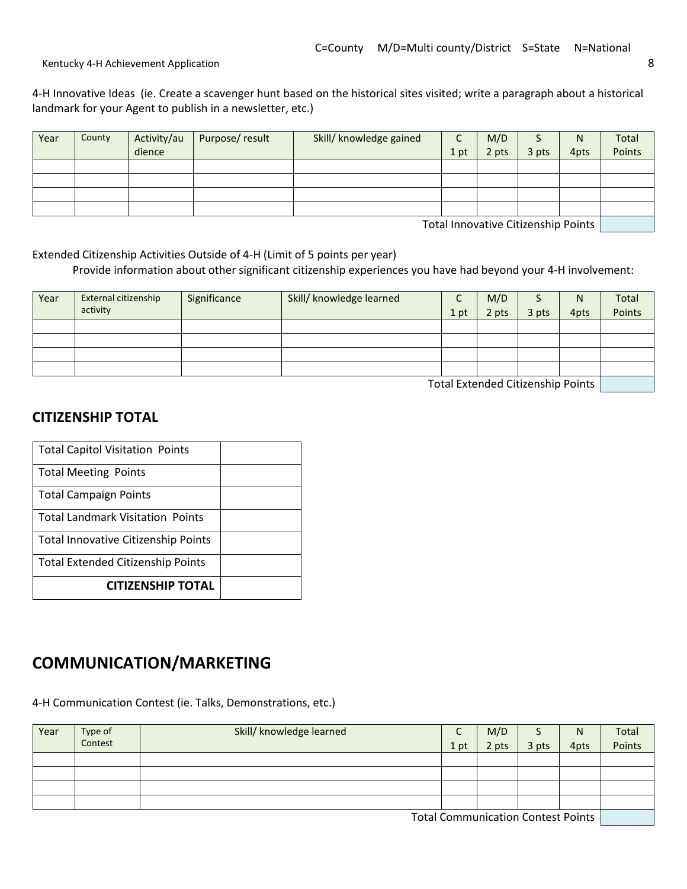4-H Innovative Ideas (ie. Create a scavenger hunt based on the historical sites visited; write a paragraph about a historical landmark for your Agent to publish in a newsletter, etc.)

| Year | County | Activity/au | Purpose/result | Skill/ knowledge gained | $\Gamma$<br>֊ | M/D   |       | N <sub>1</sub> | Total  |
|------|--------|-------------|----------------|-------------------------|---------------|-------|-------|----------------|--------|
|      |        | dience      |                |                         | 1 pt          | 2 pts | 3 pts | 4pts           | Points |
|      |        |             |                |                         |               |       |       |                |        |
|      |        |             |                |                         |               |       |       |                |        |
|      |        |             |                |                         |               |       |       |                |        |
|      |        |             |                |                         |               |       |       |                |        |

Total Innovative Citizenship Points

Extended Citizenship Activities Outside of 4-H (Limit of 5 points per year) Provide information about other significant citizenship experiences you have had beyond your 4-H involvement:

| Year                               | External citizenship<br>activity | Significance | Skill/ knowledge learned | 1 pt | M/D<br>2 pts | 3 pts | N<br>4pts | Total<br>Points |
|------------------------------------|----------------------------------|--------------|--------------------------|------|--------------|-------|-----------|-----------------|
|                                    |                                  |              |                          |      |              |       |           |                 |
|                                    |                                  |              |                          |      |              |       |           |                 |
|                                    |                                  |              |                          |      |              |       |           |                 |
|                                    |                                  |              |                          |      |              |       |           |                 |
| Takel Futural al-Okiazzaldu Dainka |                                  |              |                          |      |              |       |           |                 |

Total Extended Citizenship Points

#### **CITIZENSHIP TOTAL**

| <b>Total Capitol Visitation Points</b>   |  |
|------------------------------------------|--|
| <b>Total Meeting Points</b>              |  |
| <b>Total Campaign Points</b>             |  |
| <b>Total Landmark Visitation Points</b>  |  |
| Total Innovative Citizenship Points      |  |
| <b>Total Extended Citizenship Points</b> |  |
| <b>CITIZENSHIP TOTAL</b>                 |  |

## **COMMUNICATION/MARKETING**

4-H Communication Contest (ie. Talks, Demonstrations, etc.)

| Year | Type of<br>Contest | Skill/ knowledge learned | 1 pt | M/D<br>2 pts | 3 pts | N<br>4pts | Total<br>Points |
|------|--------------------|--------------------------|------|--------------|-------|-----------|-----------------|
|      |                    |                          |      |              |       |           |                 |
|      |                    |                          |      |              |       |           |                 |
|      |                    |                          |      |              |       |           |                 |
|      |                    |                          |      |              |       |           |                 |

Total Communication Contest Points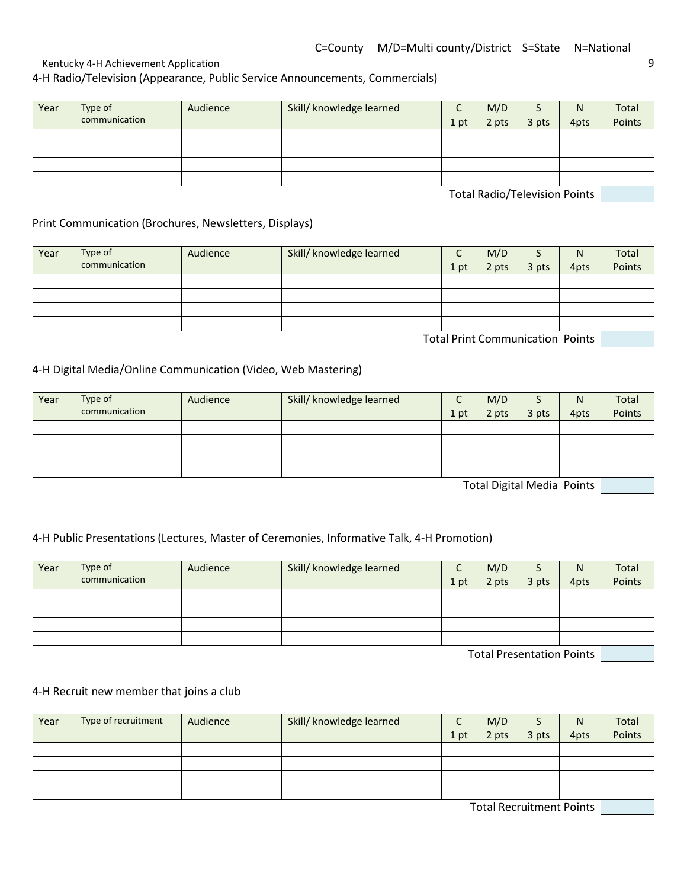Kentucky 4-H Achievement Application 60 and 200 and 200 and 200 and 200 and 200 and 200 and 200 and 200 and 20

4-H Radio/Television (Appearance, Public Service Announcements, Commercials)

| Year | Type of<br>communication | Audience | Skill/ knowledge learned | 1 pt | M/D<br>2 pts | ت<br>3 pts | N<br>4pts | Total<br>Points |
|------|--------------------------|----------|--------------------------|------|--------------|------------|-----------|-----------------|
|      |                          |          |                          |      |              |            |           |                 |
|      |                          |          |                          |      |              |            |           |                 |
|      |                          |          |                          |      |              |            |           |                 |
|      |                          |          |                          |      |              |            |           |                 |

Total Radio/Television Points

Print Communication (Brochures, Newsletters, Displays)

| Year | Type of<br>communication | Audience | Skill/ knowledge learned | 1 pt | M/D<br>2 pts | 3 pts                                                                                                                                                                                                                           | N<br>4pts | Total<br>Points |
|------|--------------------------|----------|--------------------------|------|--------------|---------------------------------------------------------------------------------------------------------------------------------------------------------------------------------------------------------------------------------|-----------|-----------------|
|      |                          |          |                          |      |              |                                                                                                                                                                                                                                 |           |                 |
|      |                          |          |                          |      |              |                                                                                                                                                                                                                                 |           |                 |
|      |                          |          |                          |      |              |                                                                                                                                                                                                                                 |           |                 |
|      |                          |          |                          |      |              |                                                                                                                                                                                                                                 |           |                 |
|      |                          |          |                          |      |              | $\tau$ . In the contract of the contract of the contract of the contract of the contract of the contract of the contract of the contract of the contract of the contract of the contract of the contract of the contract of the |           |                 |

Total Print Communication Points

#### 4-H Digital Media/Online Communication (Video, Web Mastering)

| Year | Type of       | Audience | Skill/ knowledge learned | r<br>∼ | M/D   |                                  | N    | Total  |
|------|---------------|----------|--------------------------|--------|-------|----------------------------------|------|--------|
|      | communication |          |                          | 1 pt   | 2 pts | 3 pts                            | 4pts | Points |
|      |               |          |                          |        |       |                                  |      |        |
|      |               |          |                          |        |       |                                  |      |        |
|      |               |          |                          |        |       |                                  |      |        |
|      |               |          |                          |        |       |                                  |      |        |
|      |               |          |                          |        |       | $-$ . International state $\sim$ |      |        |

Total Digital Media Points

#### 4-H Public Presentations (Lectures, Master of Ceremonies, Informative Talk, 4-H Promotion)

| Year | Type of       | Audience | Skill/ knowledge learned | C    | M/D   |                                                  | N    | Total  |
|------|---------------|----------|--------------------------|------|-------|--------------------------------------------------|------|--------|
|      | communication |          |                          | 1 pt | 2 pts | 3 pts                                            | 4pts | Points |
|      |               |          |                          |      |       |                                                  |      |        |
|      |               |          |                          |      |       |                                                  |      |        |
|      |               |          |                          |      |       |                                                  |      |        |
|      |               |          |                          |      |       |                                                  |      |        |
|      |               |          |                          |      |       | $\pm$ . In the contract of the contract of $\pm$ |      |        |

Total Presentation Points

#### 4-H Recruit new member that joins a club

| Year | Type of recruitment | Audience | Skill/ knowledge learned | $\mathsf{C}$ | M/D   |                                                                                                                                                                                                                                | N    | Total  |
|------|---------------------|----------|--------------------------|--------------|-------|--------------------------------------------------------------------------------------------------------------------------------------------------------------------------------------------------------------------------------|------|--------|
|      |                     |          |                          | 1 pt         | 2 pts | 3 pts                                                                                                                                                                                                                          | 4pts | Points |
|      |                     |          |                          |              |       |                                                                                                                                                                                                                                |      |        |
|      |                     |          |                          |              |       |                                                                                                                                                                                                                                |      |        |
|      |                     |          |                          |              |       |                                                                                                                                                                                                                                |      |        |
|      |                     |          |                          |              |       |                                                                                                                                                                                                                                |      |        |
|      |                     |          |                          |              |       | The contract of the contract of the contract of the contract of the contract of the contract of the contract of the contract of the contract of the contract of the contract of the contract of the contract of the contract o |      |        |

Total Recruitment Points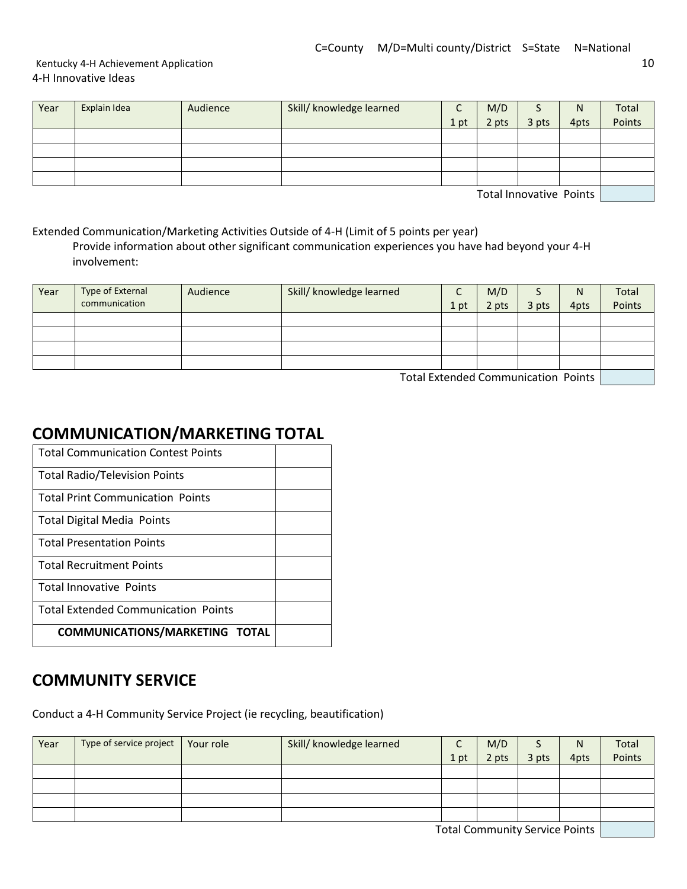#### Kentucky 4-H Achievement Application 10 4-H Innovative Ideas

| Year | Explain Idea | Audience | Skill/ knowledge learned | ֊    | M/D   | ر     | N    | Total  |
|------|--------------|----------|--------------------------|------|-------|-------|------|--------|
|      |              |          |                          | 1 pt | 2 pts | 3 pts | 4pts | Points |
|      |              |          |                          |      |       |       |      |        |
|      |              |          |                          |      |       |       |      |        |
|      |              |          |                          |      |       |       |      |        |
|      |              |          |                          |      |       |       |      |        |

Total Innovative Points

Extended Communication/Marketing Activities Outside of 4-H (Limit of 5 points per year)

Provide information about other significant communication experiences you have had beyond your 4-H involvement:

| Year | Type of External<br>communication | Audience | Skill/ knowledge learned                                                                                                                                                                                                      | 1 pt | M/D<br>2 pts | 3 pts | N<br>4pts | Total<br>Points |
|------|-----------------------------------|----------|-------------------------------------------------------------------------------------------------------------------------------------------------------------------------------------------------------------------------------|------|--------------|-------|-----------|-----------------|
|      |                                   |          |                                                                                                                                                                                                                               |      |              |       |           |                 |
|      |                                   |          |                                                                                                                                                                                                                               |      |              |       |           |                 |
|      |                                   |          |                                                                                                                                                                                                                               |      |              |       |           |                 |
|      |                                   |          |                                                                                                                                                                                                                               |      |              |       |           |                 |
|      |                                   |          | the contract of the state of the contract and the contract of the contract of the contract of the contract of the contract of the contract of the contract of the contract of the contract of the contract of the contract of |      |              |       |           |                 |

Total Extended Communication Points

## **COMMUNICATION/MARKETING TOTAL**

| <b>Total Communication Contest Points</b>  |  |
|--------------------------------------------|--|
| <b>Total Radio/Television Points</b>       |  |
| <b>Total Print Communication Points</b>    |  |
| <b>Total Digital Media Points</b>          |  |
| <b>Total Presentation Points</b>           |  |
| <b>Total Recruitment Points</b>            |  |
| <b>Total Innovative Points</b>             |  |
| <b>Total Extended Communication Points</b> |  |
| <b>COMMUNICATIONS/MARKETING TOTAL</b>      |  |

## **COMMUNITY SERVICE**

Conduct a 4-H Community Service Project (ie recycling, beautification)

| Year | Type of service project | Your role | Skill/ knowledge learned | ֊    | M/D                                 |       | N    | Total  |
|------|-------------------------|-----------|--------------------------|------|-------------------------------------|-------|------|--------|
|      |                         |           |                          | 1 pt | 2 pts                               | 3 pts | 4pts | Points |
|      |                         |           |                          |      |                                     |       |      |        |
|      |                         |           |                          |      |                                     |       |      |        |
|      |                         |           |                          |      |                                     |       |      |        |
|      |                         |           |                          |      |                                     |       |      |        |
|      |                         |           |                          |      | Tatal Canana: in the Campian Dainte |       |      |        |

Total Community Service Points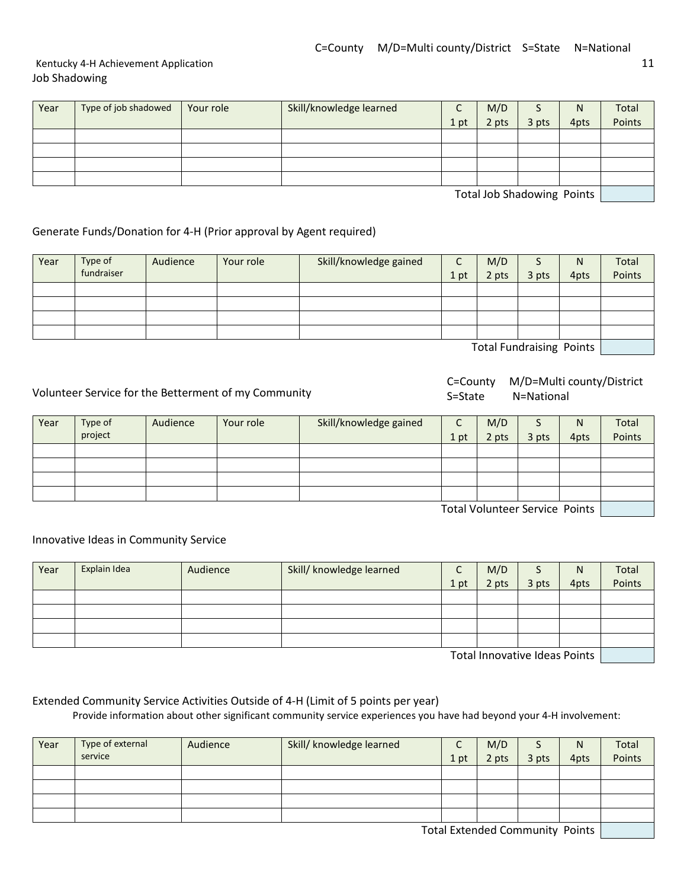#### Kentucky 4-H Achievement Application 11 Job Shadowing

| Year | Type of job shadowed | Your role | Skill/knowledge learned | ⌒<br>֊ | M/D   | ر     | N                                                                                                              | Total  |
|------|----------------------|-----------|-------------------------|--------|-------|-------|----------------------------------------------------------------------------------------------------------------|--------|
|      |                      |           |                         | 1 pt   | 2 pts | 3 pts | 4pts                                                                                                           | Points |
|      |                      |           |                         |        |       |       |                                                                                                                |        |
|      |                      |           |                         |        |       |       |                                                                                                                |        |
|      |                      |           |                         |        |       |       |                                                                                                                |        |
|      |                      |           |                         |        |       |       |                                                                                                                |        |
|      |                      |           |                         |        |       |       | the contract of the state of the state of the state of the state of the state of the state of the state of the |        |

Total Job Shadowing Points

#### Generate Funds/Donation for 4-H (Prior approval by Agent required)

| Year | Type of    | Audience | Your role | Skill/knowledge gained |      | M/D   | د                                                                                                             | N    | Total  |
|------|------------|----------|-----------|------------------------|------|-------|---------------------------------------------------------------------------------------------------------------|------|--------|
|      | fundraiser |          |           |                        | 1 pt | 2 pts | 3 pts                                                                                                         | 4pts | Points |
|      |            |          |           |                        |      |       |                                                                                                               |      |        |
|      |            |          |           |                        |      |       |                                                                                                               |      |        |
|      |            |          |           |                        |      |       |                                                                                                               |      |        |
|      |            |          |           |                        |      |       |                                                                                                               |      |        |
|      |            |          |           |                        |      |       | the contract of the contract and contract the contract of the contract of the contract of the contract of the |      |        |

Total Fundraising Points

Volunteer Service for the Betterment of my Community

C=County M/D=Multi county/District S=State N=National

| Year | Type of<br>project | Audience | Your role | Skill/knowledge gained | $\sqrt{ }$<br>1 pt | M/D<br>2 pts | 3 pts | N<br>4pts | Total<br>Points |
|------|--------------------|----------|-----------|------------------------|--------------------|--------------|-------|-----------|-----------------|
|      |                    |          |           |                        |                    |              |       |           |                 |
|      |                    |          |           |                        |                    |              |       |           |                 |
|      |                    |          |           |                        |                    |              |       |           |                 |
|      |                    |          |           |                        |                    |              |       |           |                 |

Total Volunteer Service Points

Innovative Ideas in Community Service

| Year | Explain Idea | Audience | Skill/ knowledge learned | C<br>֊ | M/D   |       | N    | Total  |
|------|--------------|----------|--------------------------|--------|-------|-------|------|--------|
|      |              |          |                          | 1 pt   | 2 pts | 3 pts | 4pts | Points |
|      |              |          |                          |        |       |       |      |        |
|      |              |          |                          |        |       |       |      |        |
|      |              |          |                          |        |       |       |      |        |
|      |              |          |                          |        |       |       |      |        |

Total Innovative Ideas Points | The Los

#### Extended Community Service Activities Outside of 4-H (Limit of 5 points per year)

Provide information about other significant community service experiences you have had beyond your 4-H involvement:

| Year | Type of external | Audience | Skill/ knowledge learned | ∽    | M/D                             |       | N    | Total  |
|------|------------------|----------|--------------------------|------|---------------------------------|-------|------|--------|
|      | service          |          |                          | 1 pt | 2 pts                           | 3 pts | 4pts | Points |
|      |                  |          |                          |      |                                 |       |      |        |
|      |                  |          |                          |      |                                 |       |      |        |
|      |                  |          |                          |      |                                 |       |      |        |
|      |                  |          |                          |      |                                 |       |      |        |
|      |                  |          |                          |      | Total Extended Community Doints |       |      |        |

Total Extended Community Points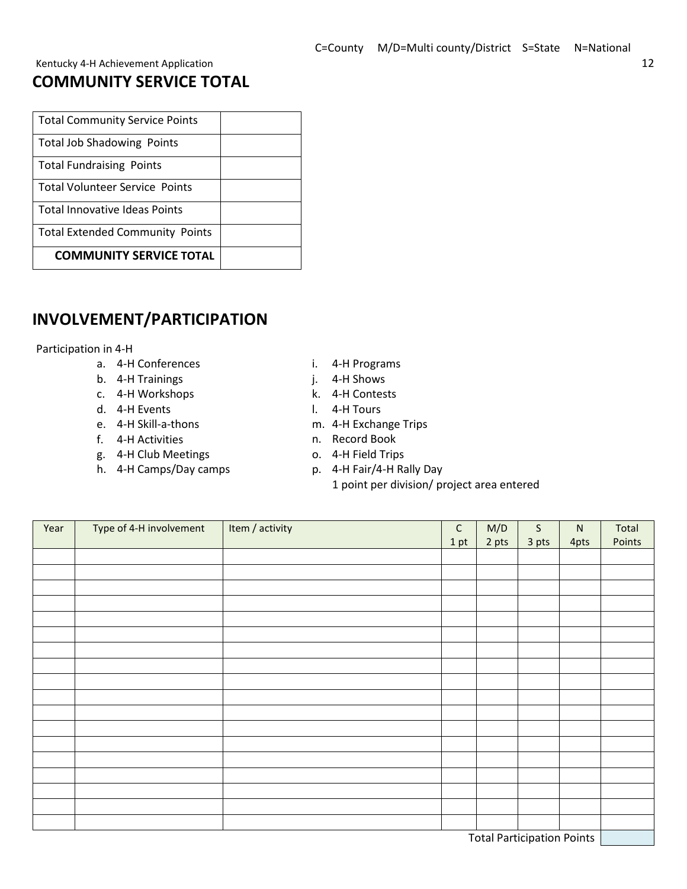## **COMMUNITY SERVICE TOTAL**

| <b>Total Community Service Points</b>  |  |
|----------------------------------------|--|
| <b>Total Job Shadowing Points</b>      |  |
| <b>Total Fundraising Points</b>        |  |
| <b>Total Volunteer Service Points</b>  |  |
| <b>Total Innovative Ideas Points</b>   |  |
| <b>Total Extended Community Points</b> |  |
| <b>COMMUNITY SERVICE TOTAL</b>         |  |

## **INVOLVEMENT/PARTICIPATION**

Participation in 4-H

- a. 4-H Conferences
- b. 4-H Trainings
- c. 4-H Workshops
- d. 4-H Events
- e. 4-H Skill-a-thons
- f. 4-H Activities
- g. 4-H Club Meetings
- h. 4-H Camps/Day camps
- i. 4-H Programs
- j. 4-H Shows
- k. 4-H Contests
- l. 4-H Tours
- m. 4-H Exchange Trips
- n. Record Book
- o. 4-H Field Trips
- p. 4-H Fair/4-H Rally Day
	- 1 point per division/ project area entered

| Year                              | Type of 4-H involvement | Item / activity | $\mathsf{C}$ | M/D   | $\mathsf{S}$ | ${\sf N}$ | Total  |
|-----------------------------------|-------------------------|-----------------|--------------|-------|--------------|-----------|--------|
|                                   |                         |                 | 1 pt         | 2 pts | 3 pts        | 4pts      | Points |
|                                   |                         |                 |              |       |              |           |        |
|                                   |                         |                 |              |       |              |           |        |
|                                   |                         |                 |              |       |              |           |        |
|                                   |                         |                 |              |       |              |           |        |
|                                   |                         |                 |              |       |              |           |        |
|                                   |                         |                 |              |       |              |           |        |
|                                   |                         |                 |              |       |              |           |        |
|                                   |                         |                 |              |       |              |           |        |
|                                   |                         |                 |              |       |              |           |        |
|                                   |                         |                 |              |       |              |           |        |
|                                   |                         |                 |              |       |              |           |        |
|                                   |                         |                 |              |       |              |           |        |
|                                   |                         |                 |              |       |              |           |        |
|                                   |                         |                 |              |       |              |           |        |
|                                   |                         |                 |              |       |              |           |        |
|                                   |                         |                 |              |       |              |           |        |
|                                   |                         |                 |              |       |              |           |        |
|                                   |                         |                 |              |       |              |           |        |
| <b>Total Participation Points</b> |                         |                 |              |       |              |           |        |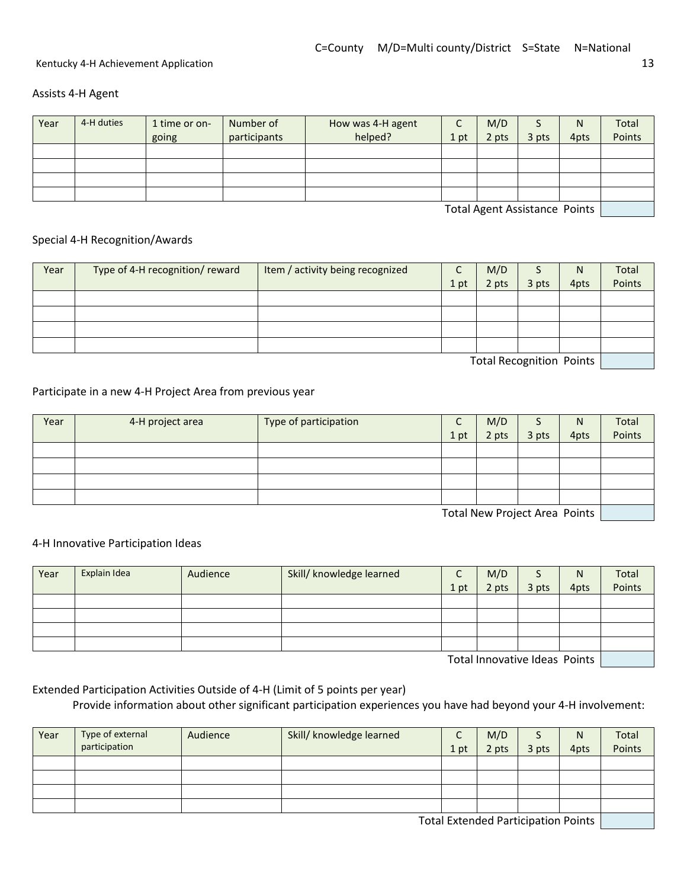Assists 4-H Agent

| Year | 4-H duties | 1 time or on-<br>going | Number of<br>participants | How was 4-H agent<br>helped? | 1 pt | M/D<br>2 pts | 3 pts | N<br>4pts | Total<br>Points |
|------|------------|------------------------|---------------------------|------------------------------|------|--------------|-------|-----------|-----------------|
|      |            |                        |                           |                              |      |              |       |           |                 |
|      |            |                        |                           |                              |      |              |       |           |                 |
|      |            |                        |                           |                              |      |              |       |           |                 |
|      |            |                        |                           |                              |      |              |       |           |                 |

Total Agent Assistance Points

#### Special 4-H Recognition/Awards

| Year | Type of 4-H recognition/ reward | Item / activity being recognized |      | M/D   |                          | N    | Total  |
|------|---------------------------------|----------------------------------|------|-------|--------------------------|------|--------|
|      |                                 |                                  | 1 pt | 2 pts | 3 pts                    | 4pts | Points |
|      |                                 |                                  |      |       |                          |      |        |
|      |                                 |                                  |      |       |                          |      |        |
|      |                                 |                                  |      |       |                          |      |        |
|      |                                 |                                  |      |       |                          |      |        |
|      |                                 |                                  |      |       | Tatal Docognition Doints |      |        |

Total Recognition Points

#### Participate in a new 4-H Project Area from previous year

| Year | 4-H project area | Type of participation | ╭<br>֊ | M/D   | э     | N    | Total  |
|------|------------------|-----------------------|--------|-------|-------|------|--------|
|      |                  |                       | 1 pt   | 2 pts | 3 pts | 4pts | Points |
|      |                  |                       |        |       |       |      |        |
|      |                  |                       |        |       |       |      |        |
|      |                  |                       |        |       |       |      |        |
|      |                  |                       |        |       |       |      |        |

Total New Project Area Points

#### 4-H Innovative Participation Ideas

| Year       | Explain Idea | Audience | Skill/ knowledge learned | C<br>֊ | M/D   |       | N    | Total  |
|------------|--------------|----------|--------------------------|--------|-------|-------|------|--------|
|            |              |          |                          | 1 pt   | 2 pts | 3 pts | 4pts | Points |
|            |              |          |                          |        |       |       |      |        |
|            |              |          |                          |        |       |       |      |        |
|            |              |          |                          |        |       |       |      |        |
|            |              |          |                          |        |       |       |      |        |
| _<br>_ _ _ |              |          |                          |        |       |       |      |        |

Total Innovative Ideas Points

Extended Participation Activities Outside of 4-H (Limit of 5 points per year) Provide information about other significant participation experiences you have had beyond your 4-H involvement:

| Year | Type of external<br>participation | Audience | Skill/ knowledge learned | J<br>1 pt | M/D<br>2 pts | 3 pts | $\mathsf{N}$<br>4pts | Total<br>Points |
|------|-----------------------------------|----------|--------------------------|-----------|--------------|-------|----------------------|-----------------|
|      |                                   |          |                          |           |              |       |                      |                 |
|      |                                   |          |                          |           |              |       |                      |                 |
|      |                                   |          |                          |           |              |       |                      |                 |
|      |                                   |          |                          |           |              |       |                      |                 |

Total Extended Participation Points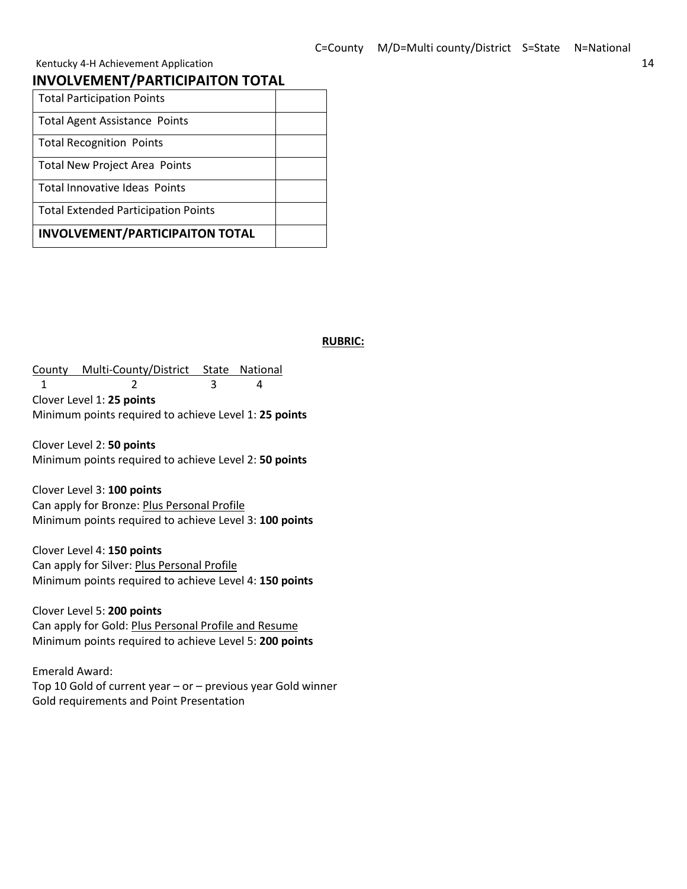#### **INVOLVEMENT/PARTICIPAITON TOTAL**

| <b>Total Participation Points</b>          |  |
|--------------------------------------------|--|
| <b>Total Agent Assistance Points</b>       |  |
| <b>Total Recognition Points</b>            |  |
| <b>Total New Project Area Points</b>       |  |
| Total Innovative Ideas Points              |  |
| <b>Total Extended Participation Points</b> |  |
| <b>INVOLVEMENT/PARTICIPAITON TOTAL</b>     |  |

#### **RUBRIC:**

County Multi-County/District State National 1 2 3 4 Clover Level 1: **25 points** Minimum points required to achieve Level 1: **25 points**

Clover Level 2: **50 points** Minimum points required to achieve Level 2: **50 points**

Clover Level 3: **100 points** Can apply for Bronze: Plus Personal Profile Minimum points required to achieve Level 3: **100 points**

Clover Level 4: **150 points** Can apply for Silver: Plus Personal Profile Minimum points required to achieve Level 4: **150 points**

Clover Level 5: **200 points** Can apply for Gold: Plus Personal Profile and Resume Minimum points required to achieve Level 5: **200 points**

Emerald Award: Top 10 Gold of current year – or – previous year Gold winner Gold requirements and Point Presentation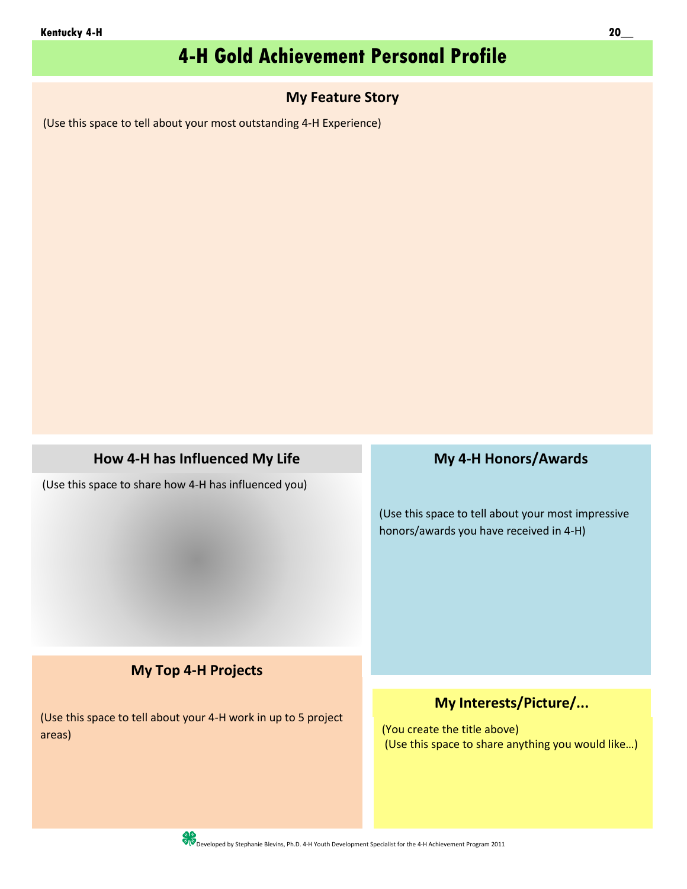## **4-H Gold Achievement Personal Profile**

### **My Feature Story**

(Use this space to tell about your most outstanding 4-H Experience)

## **How 4-H has Influenced My Life**

(Use this space to share how 4-H has influenced you)

## **My 4-H Honors/Awards**

(Use this space to tell about your most impressive honors/awards you have received in 4-H)

## **My Top 4-H Projects**

(Use this space to tell about your 4-H work in up to 5 project areas)

### **My Interests/Picture/...**

(You create the title above) (Use this space to share anything you would like…)

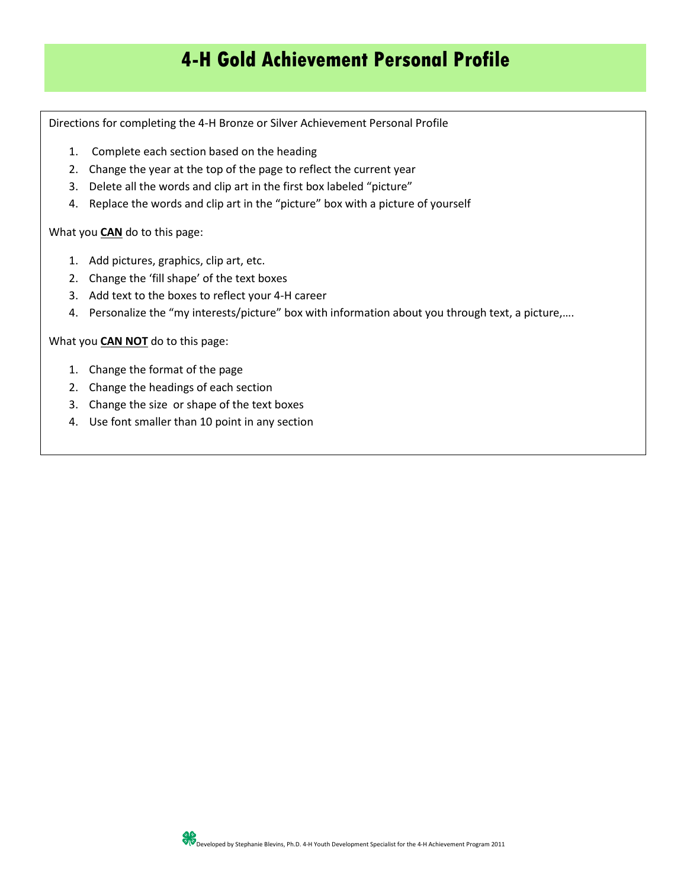## **4-H Gold Achievement Personal Profile**

Directions for completing the 4-H Bronze or Silver Achievement Personal Profile

- 1. Complete each section based on the heading
- 2. Change the year at the top of the page to reflect the current year
- 3. Delete all the words and clip art in the first box labeled "picture"
- 4. Replace the words and clip art in the "picture" box with a picture of yourself

What you **CAN** do to this page:

- 1. Add pictures, graphics, clip art, etc.
- 2. Change the 'fill shape' of the text boxes
- 3. Add text to the boxes to reflect your 4-H career
- 4. Personalize the "my interests/picture" box with information about you through text, a picture,….

What you **CAN NOT** do to this page:

- 1. Change the format of the page
- 2. Change the headings of each section
- 3. Change the size or shape of the text boxes
- 4. Use font smaller than 10 point in any section